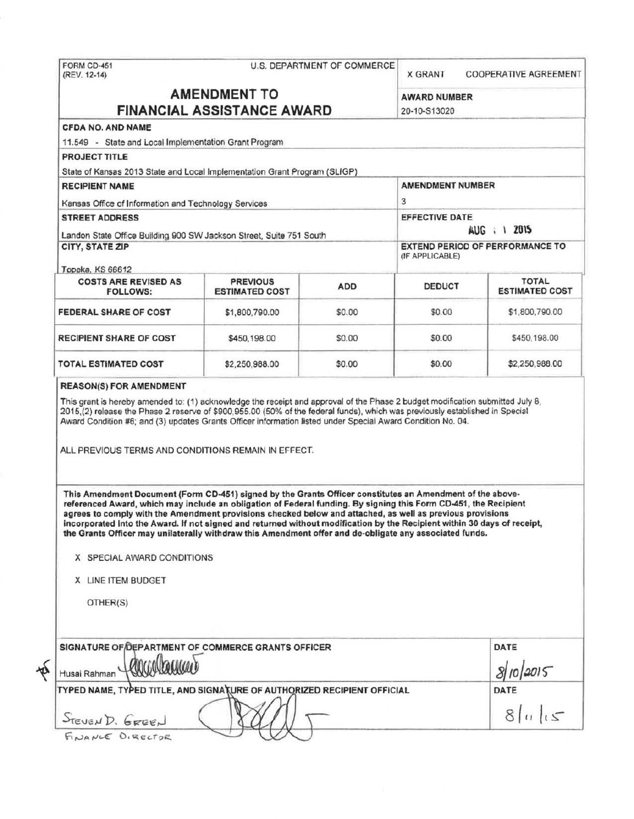|                                                                                                                                                                                                                                                                                                                                                                                                                                                                                                                                                                                                                                                   |                       |            | <b>X GRANT</b>                                                                  | COOPERATIVE AGREEMENT |                             |                 |  |                 |              |
|---------------------------------------------------------------------------------------------------------------------------------------------------------------------------------------------------------------------------------------------------------------------------------------------------------------------------------------------------------------------------------------------------------------------------------------------------------------------------------------------------------------------------------------------------------------------------------------------------------------------------------------------------|-----------------------|------------|---------------------------------------------------------------------------------|-----------------------|-----------------------------|-----------------|--|-----------------|--------------|
| <b>AMENDMENT TO</b><br><b>FINANCIAL ASSISTANCE AWARD</b>                                                                                                                                                                                                                                                                                                                                                                                                                                                                                                                                                                                          |                       |            | <b>AWARD NUMBER</b><br>20-10-S13020                                             |                       |                             |                 |  |                 |              |
| CFDA NO. AND NAME                                                                                                                                                                                                                                                                                                                                                                                                                                                                                                                                                                                                                                 |                       |            |                                                                                 |                       |                             |                 |  |                 |              |
| 11.549 - State and Local Implementation Grant Program                                                                                                                                                                                                                                                                                                                                                                                                                                                                                                                                                                                             |                       |            |                                                                                 |                       |                             |                 |  |                 |              |
| <b>PROJECT TITLE</b>                                                                                                                                                                                                                                                                                                                                                                                                                                                                                                                                                                                                                              |                       |            |                                                                                 |                       |                             |                 |  |                 |              |
| State of Kansas 2013 State and Local Implementation Grant Program (SLIGP)                                                                                                                                                                                                                                                                                                                                                                                                                                                                                                                                                                         |                       |            |                                                                                 |                       |                             |                 |  |                 |              |
| <b>RECIPIENT NAME</b>                                                                                                                                                                                                                                                                                                                                                                                                                                                                                                                                                                                                                             |                       |            | <b>AMENDMENT NUMBER</b>                                                         |                       |                             |                 |  |                 |              |
| Kansas Office of Information and Technology Services                                                                                                                                                                                                                                                                                                                                                                                                                                                                                                                                                                                              |                       |            | 3                                                                               |                       |                             |                 |  |                 |              |
| <b>STREET ADDRESS</b><br>Landon State Office Building 900 SW Jackson Street, Suite 751 South<br>CITY, STATE ZIP                                                                                                                                                                                                                                                                                                                                                                                                                                                                                                                                   |                       |            | <b>EFFECTIVE DATE</b><br>AUG : 1 2015<br><b>EXTEND PERIOD OF PERFORMANCE TO</b> |                       |                             |                 |  |                 |              |
|                                                                                                                                                                                                                                                                                                                                                                                                                                                                                                                                                                                                                                                   |                       |            |                                                                                 |                       | Topeka, KS 66612            |                 |  | (IF APPLICABLE) |              |
|                                                                                                                                                                                                                                                                                                                                                                                                                                                                                                                                                                                                                                                   |                       |            |                                                                                 |                       | <b>COSTS ARE REVISED AS</b> | <b>PREVIOUS</b> |  |                 | <b>TOTAL</b> |
| <b>FOLLOWS:</b>                                                                                                                                                                                                                                                                                                                                                                                                                                                                                                                                                                                                                                   | <b>ESTIMATED COST</b> | <b>ADD</b> | <b>DEDUCT</b>                                                                   | <b>ESTIMATED COST</b> |                             |                 |  |                 |              |
| FEDERAL SHARE OF COST                                                                                                                                                                                                                                                                                                                                                                                                                                                                                                                                                                                                                             | \$1,800,790.00        | \$0.00     | \$0.00                                                                          | \$1,800,790.00        |                             |                 |  |                 |              |
| <b>RECIPIENT SHARE OF COST</b>                                                                                                                                                                                                                                                                                                                                                                                                                                                                                                                                                                                                                    | \$450,198.00          | \$0.00     | \$0.00                                                                          | \$450,198.00          |                             |                 |  |                 |              |
| <b>TOTAL ESTIMATED COST</b>                                                                                                                                                                                                                                                                                                                                                                                                                                                                                                                                                                                                                       | \$2,250,988.00        | \$0.00     | \$0.00                                                                          | \$2,250,988.00        |                             |                 |  |                 |              |
|                                                                                                                                                                                                                                                                                                                                                                                                                                                                                                                                                                                                                                                   |                       |            |                                                                                 |                       |                             |                 |  |                 |              |
| <b>REASON(S) FOR AMENDMENT</b><br>This grant is hereby amended to: (1) acknowledge the receipt and approval of the Phase 2 budget modification submitted July 8,<br>2015.(2) release the Phase 2 reserve of \$900,955.00 (50% of the federal funds), which was previously established in Special<br>Award Condition #6; and (3) updates Grants Officer information listed under Special Award Condition No. 04.<br>ALL PREVIOUS TERMS AND CONDITIONS REMAIN IN EFFECT.                                                                                                                                                                            |                       |            |                                                                                 |                       |                             |                 |  |                 |              |
| This Amendment Document (Form CD-451) signed by the Grants Officer constitutes an Amendment of the above-<br>referenced Award, which may include an obligation of Federal funding. By signing this Form CD-451, the Recipient<br>agrees to comply with the Amendment provisions checked below and attached, as well as previous provisions<br>incorporated into the Award. If not signed and returned without modification by the Recipient within 30 days of receipt,<br>the Grants Officer may unilaterally withdraw this Amendment offer and de-obligate any associated funds.<br>X SPECIAL AWARD CONDITIONS<br>X LINE ITEM BUDGET<br>OTHER(S) |                       |            |                                                                                 |                       |                             |                 |  |                 |              |
|                                                                                                                                                                                                                                                                                                                                                                                                                                                                                                                                                                                                                                                   |                       |            |                                                                                 | DATE                  |                             |                 |  |                 |              |
| <b><i>MICLOVERNICO</i></b>                                                                                                                                                                                                                                                                                                                                                                                                                                                                                                                                                                                                                        |                       |            |                                                                                 | 8/10/2015             |                             |                 |  |                 |              |
| SIGNATURE OF DEPARTMENT OF COMMERCE GRANTS OFFICER<br>Husai Rahman<br>TYPED NAME, TYPED TITLE, AND SIGNATURE OF AUTHORIZED RECIPIENT OFFICIAL                                                                                                                                                                                                                                                                                                                                                                                                                                                                                                     |                       |            |                                                                                 | DATE                  |                             |                 |  |                 |              |